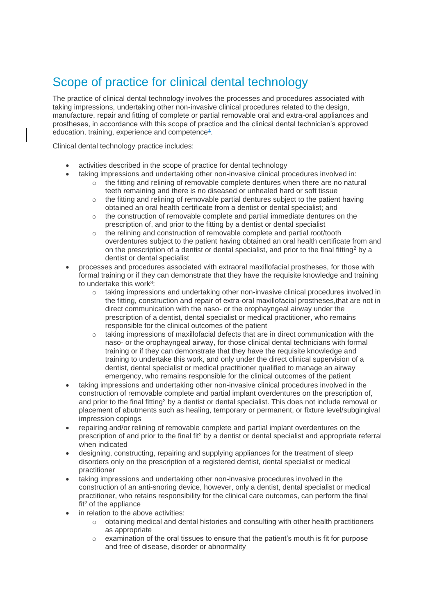## Scope of practice for clinical dental technology

The practice of clinical dental technology involves the processes and procedures associated with taking impressions, undertaking other non-invasive clinical procedures related to the design, manufacture, repair and fitting of complete or partial removable oral and extra-oral appliances and prostheses, in accordance with this scope of practice and the clinical dental technician's approved education, training, experience and competence $4$ .

Clinical dental technology practice includes:

- activities described in the scope of practice for dental technology
	- taking impressions and undertaking other non-invasive clinical procedures involved in:
		- $\circ$  the fitting and relining of removable complete dentures when there are no natural teeth remaining and there is no diseased or unhealed hard or soft tissue
		- $\circ$  the fitting and relining of removable partial dentures subject to the patient having obtained an oral health certificate from a dentist or dental specialist; and
		- $\circ$  the construction of removable complete and partial immediate dentures on the prescription of, and prior to the fitting by a dentist or dental specialist
		- o the relining and construction of removable complete and partial root/tooth overdentures subject to the patient having obtained an oral health certificate from and on the prescription of a dentist or dental specialist, and prior to the final fitting<sup>2</sup> by a dentist or dental specialist
- processes and procedures associated with extraoral maxillofacial prostheses, for those with formal training or if they can demonstrate that they have the requisite knowledge and training to undertake this work<sup>3</sup>:
	- $\circ$  taking impressions and undertaking other non-invasive clinical procedures involved in the fitting, construction and repair of extra-oral maxillofacial prostheses,that are not in direct communication with the naso- or the orophayngeal airway under the prescription of a dentist, dental specialist or medical practitioner, who remains responsible for the clinical outcomes of the patient
	- $\circ$  taking impressions of maxillofacial defects that are in direct communication with the naso- or the orophayngeal airway, for those clinical dental technicians with formal training or if they can demonstrate that they have the requisite knowledge and training to undertake this work, and only under the direct clinical supervision of a dentist, dental specialist or medical practitioner qualified to manage an airway emergency, who remains responsible for the clinical outcomes of the patient
- taking impressions and undertaking other non-invasive clinical procedures involved in the construction of removable complete and partial implant overdentures on the prescription of, and prior to the final fitting<sup>2</sup> by a dentist or dental specialist. This does not include removal or placement of abutments such as healing, temporary or permanent, or fixture level/subgingival impression copings
- repairing and/or relining of removable complete and partial implant overdentures on the prescription of and prior to the final fit<sup>2</sup> by a dentist or dental specialist and appropriate referral when indicated
- designing, constructing, repairing and supplying appliances for the treatment of sleep disorders only on the prescription of a registered dentist, dental specialist or medical practitioner
- taking impressions and undertaking other non-invasive procedures involved in the construction of an anti-snoring device, however, only a dentist, dental specialist or medical practitioner, who retains responsibility for the clinical care outcomes, can perform the final  $fit<sup>2</sup>$  of the appliance
- in relation to the above activities:
	- $\circ$  obtaining medical and dental histories and consulting with other health practitioners as appropriate
	- examination of the oral tissues to ensure that the patient's mouth is fit for purpose and free of disease, disorder or abnormality